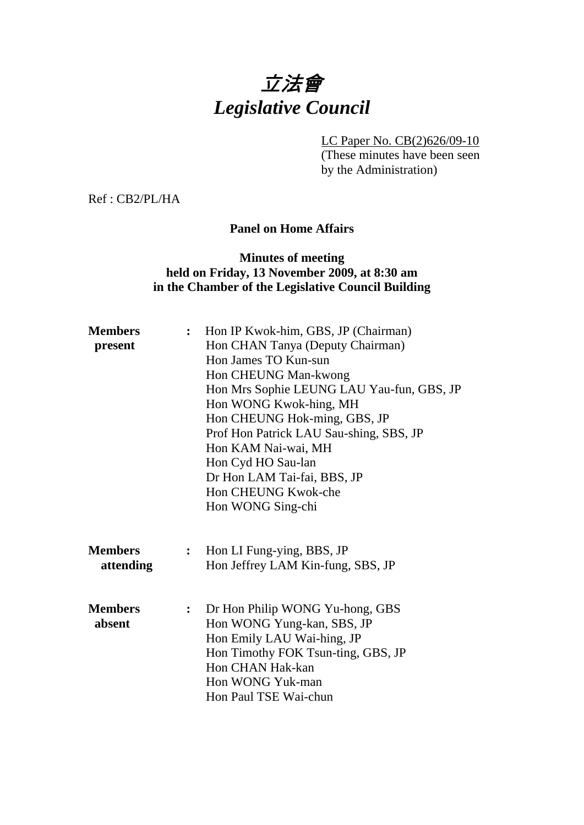# 立法會 *Legislative Council*

LC Paper No. CB(2)626/09-10

(These minutes have been seen by the Administration)

Ref : CB2/PL/HA

## **Panel on Home Affairs**

# **Minutes of meeting held on Friday, 13 November 2009, at 8:30 am in the Chamber of the Legislative Council Building**

| <b>Members</b><br>present   | $\ddot{\cdot}$   | Hon IP Kwok-him, GBS, JP (Chairman)<br>Hon CHAN Tanya (Deputy Chairman)<br>Hon James TO Kun-sun<br>Hon CHEUNG Man-kwong<br>Hon Mrs Sophie LEUNG LAU Yau-fun, GBS, JP                               |  |
|-----------------------------|------------------|----------------------------------------------------------------------------------------------------------------------------------------------------------------------------------------------------|--|
|                             |                  | Hon WONG Kwok-hing, MH<br>Hon CHEUNG Hok-ming, GBS, JP<br>Prof Hon Patrick LAU Sau-shing, SBS, JP<br>Hon KAM Nai-wai, MH<br>Hon Cyd HO Sau-lan<br>Dr Hon LAM Tai-fai, BBS, JP                      |  |
|                             |                  | Hon CHEUNG Kwok-che<br>Hon WONG Sing-chi                                                                                                                                                           |  |
| <b>Members</b><br>attending | $\ddot{\bullet}$ | Hon LI Fung-ying, BBS, JP<br>Hon Jeffrey LAM Kin-fung, SBS, JP                                                                                                                                     |  |
| <b>Members</b><br>absent    | :                | Dr Hon Philip WONG Yu-hong, GBS<br>Hon WONG Yung-kan, SBS, JP<br>Hon Emily LAU Wai-hing, JP<br>Hon Timothy FOK Tsun-ting, GBS, JP<br>Hon CHAN Hak-kan<br>Hon WONG Yuk-man<br>Hon Paul TSE Wai-chun |  |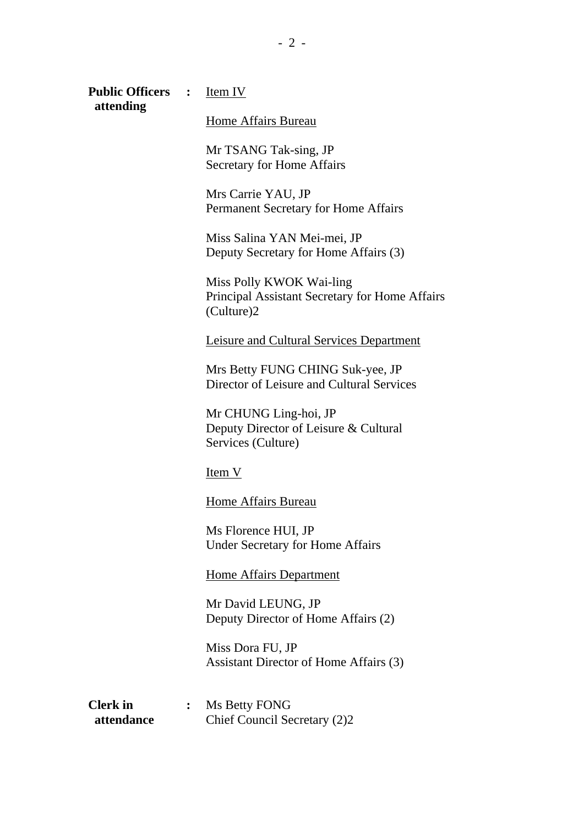| <b>Public Officers</b>        | :              | <u>Item IV</u>                                                                           |
|-------------------------------|----------------|------------------------------------------------------------------------------------------|
| attending                     |                | Home Affairs Bureau                                                                      |
|                               |                | Mr TSANG Tak-sing, JP<br><b>Secretary for Home Affairs</b>                               |
|                               |                | Mrs Carrie YAU, JP<br>Permanent Secretary for Home Affairs                               |
|                               |                | Miss Salina YAN Mei-mei, JP<br>Deputy Secretary for Home Affairs (3)                     |
|                               |                | Miss Polly KWOK Wai-ling<br>Principal Assistant Secretary for Home Affairs<br>(Culture)2 |
|                               |                | Leisure and Cultural Services Department                                                 |
|                               |                | Mrs Betty FUNG CHING Suk-yee, JP<br>Director of Leisure and Cultural Services            |
|                               |                | Mr CHUNG Ling-hoi, JP<br>Deputy Director of Leisure & Cultural<br>Services (Culture)     |
|                               |                | $Item V$                                                                                 |
|                               |                | Home Affairs Bureau                                                                      |
|                               |                | Ms Florence HUI, JP<br><b>Under Secretary for Home Affairs</b>                           |
|                               |                | <b>Home Affairs Department</b>                                                           |
|                               |                | Mr David LEUNG, JP<br>Deputy Director of Home Affairs (2)                                |
|                               |                | Miss Dora FU, JP<br>Assistant Director of Home Affairs (3)                               |
| <b>Clerk</b> in<br>attendance | $\ddot{\cdot}$ | Ms Betty FONG<br>Chief Council Secretary (2)2                                            |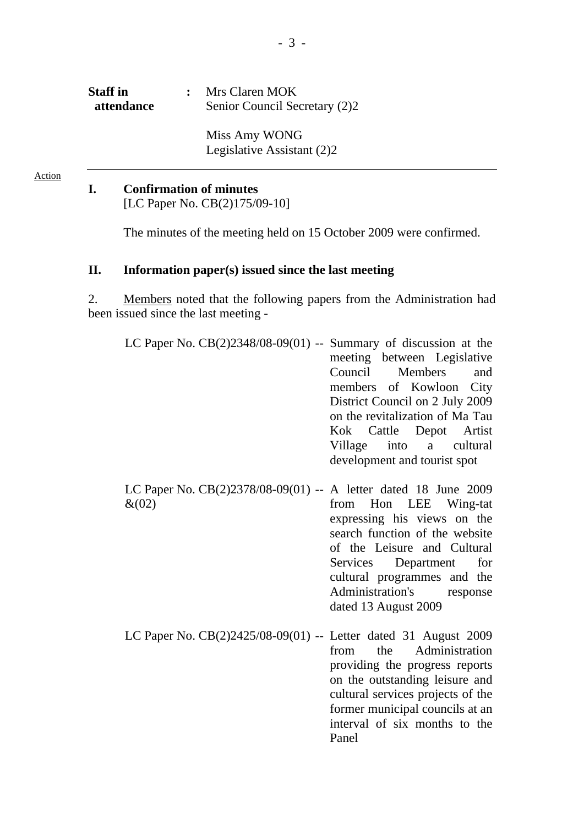| <b>Staff</b> in<br>attendance | Mrs Claren MOK<br>Senior Council Secretary (2)2 |
|-------------------------------|-------------------------------------------------|
|                               | Miss Amy WONG<br>Legislative Assistant (2)2     |

# **I. Confirmation of minutes**

Action

[LC Paper No. CB(2)175/09-10]

The minutes of the meeting held on 15 October 2009 were confirmed.

#### **II. Information paper(s) issued since the last meeting**

2. Members noted that the following papers from the Administration had been issued since the last meeting -

| LC Paper No. $CB(2)2348/08-09(01)$ -- Summary of discussion at the |                                 |
|--------------------------------------------------------------------|---------------------------------|
|                                                                    | meeting between Legislative     |
|                                                                    | Council Members and             |
|                                                                    | members of Kowloon City         |
|                                                                    | District Council on 2 July 2009 |
|                                                                    | on the revitalization of Ma Tau |
|                                                                    | Kok Cattle Depot Artist         |
|                                                                    | Village into a cultural         |
|                                                                    | development and tourist spot    |

LC Paper No. CB(2)2378/08-09(01) -- A letter dated 18 June 2009  $&(02)$ from Hon LEE Wing-tat expressing his views on the search function of the website of the Leisure and Cultural Services Department for cultural programmes and the Administration's response dated 13 August 2009

LC Paper No. CB(2)2425/08-09(01) -- Letter dated 31 August 2009 from the Administration providing the progress reports on the outstanding leisure and cultural services projects of the former municipal councils at an interval of six months to the Panel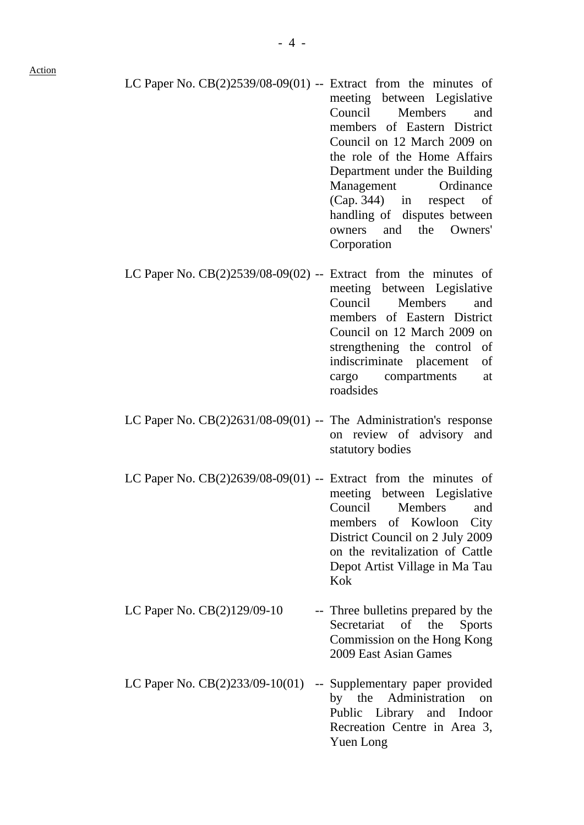LC Paper No.  $CB(2)2539/08-09(01)$  -- Extract from the minutes of

Action

meeting between Legislative Council Members and members of Eastern District Council on 12 March 2009 on the role of the Home Affairs Department under the Building Management Ordinance (Cap. 344) in respect of handling of disputes between owners and the Owners' Corporation LC Paper No.  $CB(2)2539/08-09(02)$  -- Extract from the minutes of meeting between Legislative Council Members and members of Eastern District Council on 12 March 2009 on strengthening the control of indiscriminate placement of cargo compartments at roadsides LC Paper No. CB(2)2631/08-09(01) -- The Administration's response on review of advisory and statutory bodies LC Paper No.  $CB(2)2639/08-09(01)$  -- Extract from the minutes of meeting between Legislative Council Members and members of Kowloon City District Council on 2 July 2009 on the revitalization of Cattle Depot Artist Village in Ma Tau Kok LC Paper No.  $CB(2)129/09-10$  -- Three bulletins prepared by the Secretariat of the Sports Commission on the Hong Kong 2009 East Asian Games LC Paper No. CB(2)233/09-10(01) -- Supplementary paper provided by the Administration on Public Library and Indoor Recreation Centre in Area 3, Yuen Long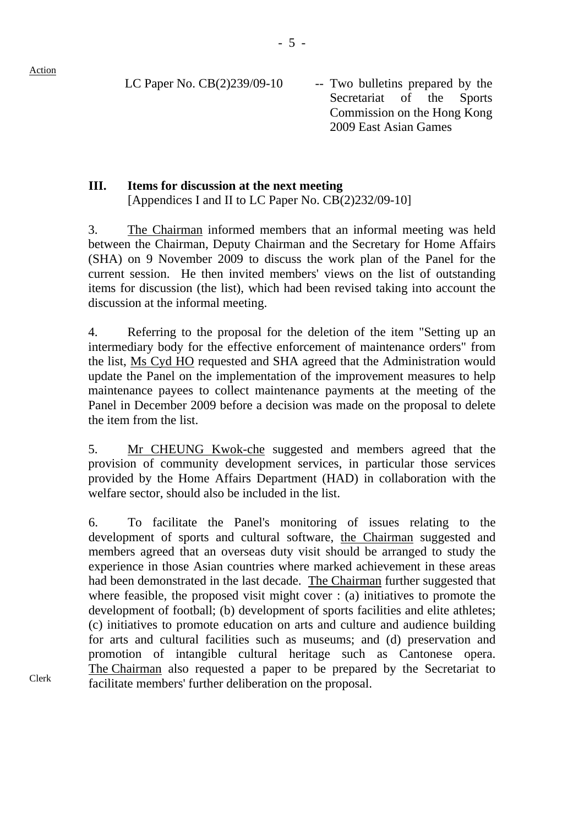Clerk

LC Paper No.  $CB(2)239/09-10$  -- Two bulletins prepared by the Secretariat of the Sports Commission on the Hong Kong 2009 East Asian Games

# **III. Items for discussion at the next meeting**  [Appendices I and II to LC Paper No. CB(2)232/09-10]

3. The Chairman informed members that an informal meeting was held between the Chairman, Deputy Chairman and the Secretary for Home Affairs (SHA) on 9 November 2009 to discuss the work plan of the Panel for the current session. He then invited members' views on the list of outstanding items for discussion (the list), which had been revised taking into account the discussion at the informal meeting.

4. Referring to the proposal for the deletion of the item "Setting up an intermediary body for the effective enforcement of maintenance orders" from the list, Ms Cyd HO requested and SHA agreed that the Administration would update the Panel on the implementation of the improvement measures to help maintenance payees to collect maintenance payments at the meeting of the Panel in December 2009 before a decision was made on the proposal to delete the item from the list.

5. Mr CHEUNG Kwok-che suggested and members agreed that the provision of community development services, in particular those services provided by the Home Affairs Department (HAD) in collaboration with the welfare sector, should also be included in the list.

6. To facilitate the Panel's monitoring of issues relating to the development of sports and cultural software, the Chairman suggested and members agreed that an overseas duty visit should be arranged to study the experience in those Asian countries where marked achievement in these areas had been demonstrated in the last decade. The Chairman further suggested that where feasible, the proposed visit might cover : (a) initiatives to promote the development of football; (b) development of sports facilities and elite athletes; (c) initiatives to promote education on arts and culture and audience building for arts and cultural facilities such as museums; and (d) preservation and promotion of intangible cultural heritage such as Cantonese opera. The Chairman also requested a paper to be prepared by the Secretariat to facilitate members' further deliberation on the proposal.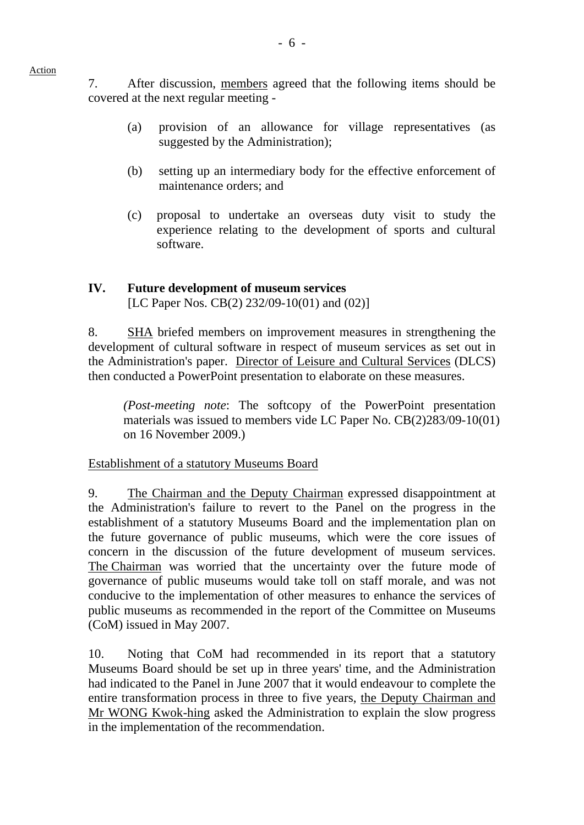7. After discussion, members agreed that the following items should be

covered at the next regular meeting -

- (a) provision of an allowance for village representatives (as suggested by the Administration);
- (b) setting up an intermediary body for the effective enforcement of maintenance orders; and
- (c) proposal to undertake an overseas duty visit to study the experience relating to the development of sports and cultural software.

# **IV. Future development of museum services**  [LC Paper Nos. CB(2) 232/09-10(01) and (02)]

8. SHA briefed members on improvement measures in strengthening the development of cultural software in respect of museum services as set out in the Administration's paper. Director of Leisure and Cultural Services (DLCS) then conducted a PowerPoint presentation to elaborate on these measures.

*(Post-meeting note*: The softcopy of the PowerPoint presentation materials was issued to members vide LC Paper No. CB(2)283/09-10(01) on 16 November 2009.)

# Establishment of a statutory Museums Board

9. The Chairman and the Deputy Chairman expressed disappointment at the Administration's failure to revert to the Panel on the progress in the establishment of a statutory Museums Board and the implementation plan on the future governance of public museums, which were the core issues of concern in the discussion of the future development of museum services. The Chairman was worried that the uncertainty over the future mode of governance of public museums would take toll on staff morale, and was not conducive to the implementation of other measures to enhance the services of public museums as recommended in the report of the Committee on Museums (CoM) issued in May 2007.

10. Noting that CoM had recommended in its report that a statutory Museums Board should be set up in three years' time, and the Administration had indicated to the Panel in June 2007 that it would endeavour to complete the entire transformation process in three to five years, the Deputy Chairman and Mr WONG Kwok-hing asked the Administration to explain the slow progress in the implementation of the recommendation.

- 6 -

### Action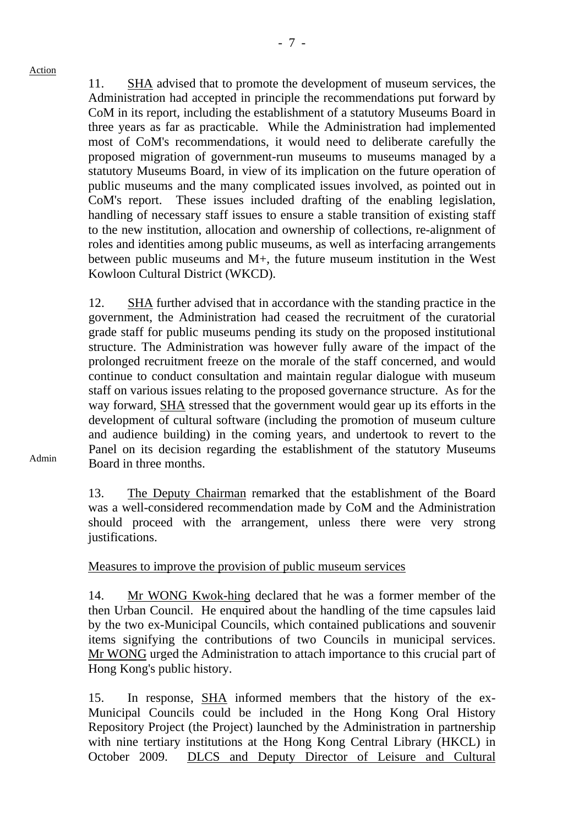11. SHA advised that to promote the development of museum services, the Administration had accepted in principle the recommendations put forward by CoM in its report, including the establishment of a statutory Museums Board in three years as far as practicable. While the Administration had implemented most of CoM's recommendations, it would need to deliberate carefully the proposed migration of government-run museums to museums managed by a statutory Museums Board, in view of its implication on the future operation of public museums and the many complicated issues involved, as pointed out in CoM's report. These issues included drafting of the enabling legislation, handling of necessary staff issues to ensure a stable transition of existing staff to the new institution, allocation and ownership of collections, re-alignment of roles and identities among public museums, as well as interfacing arrangements between public museums and M+, the future museum institution in the West Kowloon Cultural District (WKCD).

12. SHA further advised that in accordance with the standing practice in the government, the Administration had ceased the recruitment of the curatorial grade staff for public museums pending its study on the proposed institutional structure. The Administration was however fully aware of the impact of the prolonged recruitment freeze on the morale of the staff concerned, and would continue to conduct consultation and maintain regular dialogue with museum staff on various issues relating to the proposed governance structure. As for the way forward, SHA stressed that the government would gear up its efforts in the development of cultural software (including the promotion of museum culture and audience building) in the coming years, and undertook to revert to the Panel on its decision regarding the establishment of the statutory Museums Board in three months.

13. The Deputy Chairman remarked that the establishment of the Board was a well-considered recommendation made by CoM and the Administration should proceed with the arrangement, unless there were very strong justifications.

### Measures to improve the provision of public museum services

14. Mr WONG Kwok-hing declared that he was a former member of the then Urban Council. He enquired about the handling of the time capsules laid by the two ex-Municipal Councils, which contained publications and souvenir items signifying the contributions of two Councils in municipal services. Mr WONG urged the Administration to attach importance to this crucial part of Hong Kong's public history.

15. In response, SHA informed members that the history of the ex-Municipal Councils could be included in the Hong Kong Oral History Repository Project (the Project) launched by the Administration in partnership with nine tertiary institutions at the Hong Kong Central Library (HKCL) in October 2009. DLCS and Deputy Director of Leisure and Cultural

#### Admin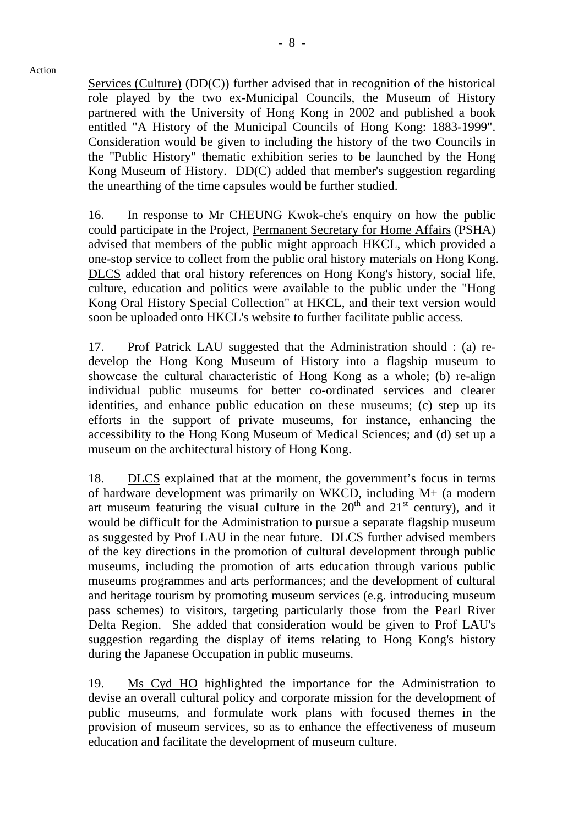Services (Culture) (DD(C)) further advised that in recognition of the historical role played by the two ex-Municipal Councils, the Museum of History partnered with the University of Hong Kong in 2002 and published a book entitled "A History of the Municipal Councils of Hong Kong: 1883-1999". Consideration would be given to including the history of the two Councils in the "Public History" thematic exhibition series to be launched by the Hong Kong Museum of History. DD(C) added that member's suggestion regarding the unearthing of the time capsules would be further studied.

16. In response to Mr CHEUNG Kwok-che's enquiry on how the public could participate in the Project, Permanent Secretary for Home Affairs (PSHA) advised that members of the public might approach HKCL, which provided a one-stop service to collect from the public oral history materials on Hong Kong. DLCS added that oral history references on Hong Kong's history, social life, culture, education and politics were available to the public under the "Hong Kong Oral History Special Collection" at HKCL, and their text version would soon be uploaded onto HKCL's website to further facilitate public access.

17. Prof Patrick LAU suggested that the Administration should : (a) redevelop the Hong Kong Museum of History into a flagship museum to showcase the cultural characteristic of Hong Kong as a whole; (b) re-align individual public museums for better co-ordinated services and clearer identities, and enhance public education on these museums; (c) step up its efforts in the support of private museums, for instance, enhancing the accessibility to the Hong Kong Museum of Medical Sciences; and (d) set up a museum on the architectural history of Hong Kong.

18. DLCS explained that at the moment, the government's focus in terms of hardware development was primarily on WKCD, including M+ (a modern art museum featuring the visual culture in the  $20<sup>th</sup>$  and  $21<sup>st</sup>$  century), and it would be difficult for the Administration to pursue a separate flagship museum as suggested by Prof LAU in the near future. DLCS further advised members of the key directions in the promotion of cultural development through public museums, including the promotion of arts education through various public museums programmes and arts performances; and the development of cultural and heritage tourism by promoting museum services (e.g. introducing museum pass schemes) to visitors, targeting particularly those from the Pearl River Delta Region. She added that consideration would be given to Prof LAU's suggestion regarding the display of items relating to Hong Kong's history during the Japanese Occupation in public museums.

19. Ms Cyd HO highlighted the importance for the Administration to devise an overall cultural policy and corporate mission for the development of public museums, and formulate work plans with focused themes in the provision of museum services, so as to enhance the effectiveness of museum education and facilitate the development of museum culture.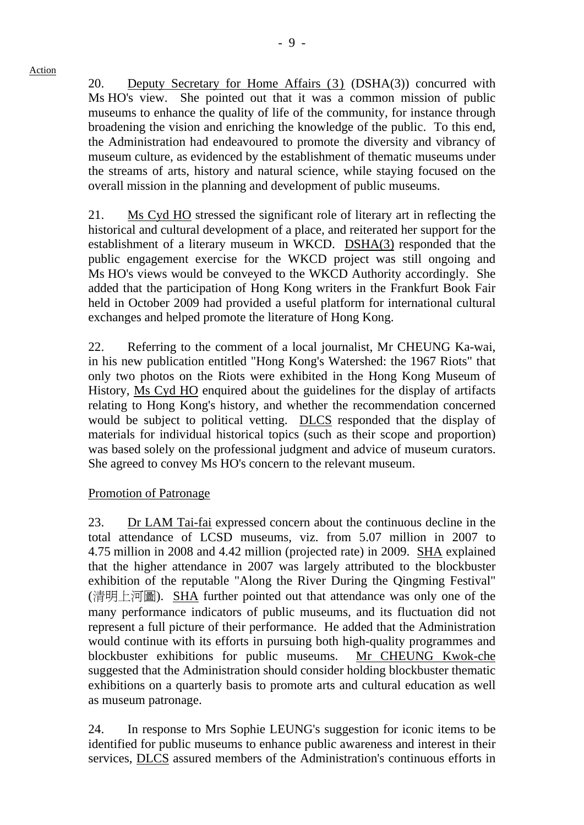20. Deputy Secretary for Home Affairs (3) (DSHA(3)) concurred with Ms HO's view. She pointed out that it was a common mission of public museums to enhance the quality of life of the community, for instance through broadening the vision and enriching the knowledge of the public. To this end, the Administration had endeavoured to promote the diversity and vibrancy of museum culture, as evidenced by the establishment of thematic museums under the streams of arts, history and natural science, while staying focused on the overall mission in the planning and development of public museums.

21. Ms Cyd HO stressed the significant role of literary art in reflecting the historical and cultural development of a place, and reiterated her support for the establishment of a literary museum in WKCD. DSHA(3) responded that the public engagement exercise for the WKCD project was still ongoing and Ms HO's views would be conveyed to the WKCD Authority accordingly. She added that the participation of Hong Kong writers in the Frankfurt Book Fair held in October 2009 had provided a useful platform for international cultural exchanges and helped promote the literature of Hong Kong.

22. Referring to the comment of a local journalist, Mr CHEUNG Ka-wai, in his new publication entitled "Hong Kong's Watershed: the 1967 Riots" that only two photos on the Riots were exhibited in the Hong Kong Museum of History, Ms Cyd HO enquired about the guidelines for the display of artifacts relating to Hong Kong's history, and whether the recommendation concerned would be subject to political vetting. DLCS responded that the display of materials for individual historical topics (such as their scope and proportion) was based solely on the professional judgment and advice of museum curators. She agreed to convey Ms HO's concern to the relevant museum.

# Promotion of Patronage

23. Dr LAM Tai-fai expressed concern about the continuous decline in the total attendance of LCSD museums, viz. from 5.07 million in 2007 to 4.75 million in 2008 and 4.42 million (projected rate) in 2009. SHA explained that the higher attendance in 2007 was largely attributed to the blockbuster exhibition of the reputable "Along the River During the Qingming Festival" (清明上河圖). SHA further pointed out that attendance was only one of the many performance indicators of public museums, and its fluctuation did not represent a full picture of their performance. He added that the Administration would continue with its efforts in pursuing both high-quality programmes and blockbuster exhibitions for public museums. Mr CHEUNG Kwok-che suggested that the Administration should consider holding blockbuster thematic exhibitions on a quarterly basis to promote arts and cultural education as well as museum patronage.

24. In response to Mrs Sophie LEUNG's suggestion for iconic items to be identified for public museums to enhance public awareness and interest in their services, DLCS assured members of the Administration's continuous efforts in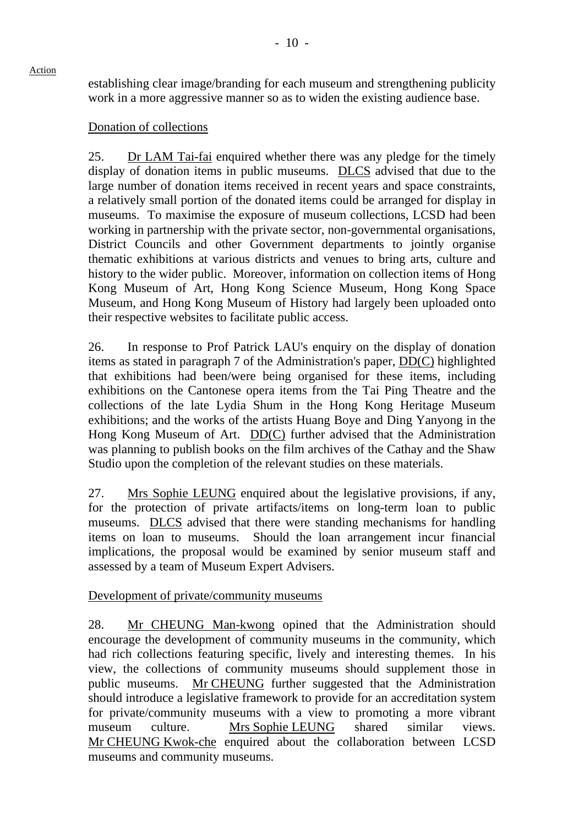establishing clear image/branding for each museum and strengthening publicity work in a more aggressive manner so as to widen the existing audience base.

# Donation of collections

25. Dr LAM Tai-fai enquired whether there was any pledge for the timely display of donation items in public museums. DLCS advised that due to the large number of donation items received in recent years and space constraints, a relatively small portion of the donated items could be arranged for display in museums. To maximise the exposure of museum collections, LCSD had been working in partnership with the private sector, non-governmental organisations, District Councils and other Government departments to jointly organise thematic exhibitions at various districts and venues to bring arts, culture and history to the wider public. Moreover, information on collection items of Hong Kong Museum of Art, Hong Kong Science Museum, Hong Kong Space Museum, and Hong Kong Museum of History had largely been uploaded onto their respective websites to facilitate public access.

26. In response to Prof Patrick LAU's enquiry on the display of donation items as stated in paragraph 7 of the Administration's paper, DD(C) highlighted that exhibitions had been/were being organised for these items, including exhibitions on the Cantonese opera items from the Tai Ping Theatre and the collections of the late Lydia Shum in the Hong Kong Heritage Museum exhibitions; and the works of the artists Huang Boye and Ding Yanyong in the Hong Kong Museum of Art. DD(C) further advised that the Administration was planning to publish books on the film archives of the Cathay and the Shaw Studio upon the completion of the relevant studies on these materials.

27. Mrs Sophie LEUNG enquired about the legislative provisions, if any, for the protection of private artifacts/items on long-term loan to public museums. DLCS advised that there were standing mechanisms for handling items on loan to museums. Should the loan arrangement incur financial implications, the proposal would be examined by senior museum staff and assessed by a team of Museum Expert Advisers.

# Development of private/community museums

28. Mr CHEUNG Man-kwong opined that the Administration should encourage the development of community museums in the community, which had rich collections featuring specific, lively and interesting themes. In his view, the collections of community museums should supplement those in public museums. Mr CHEUNG further suggested that the Administration should introduce a legislative framework to provide for an accreditation system for private/community museums with a view to promoting a more vibrant museum culture. Mrs Sophie LEUNG shared similar views. Mr CHEUNG Kwok-che enquired about the collaboration between LCSD museums and community museums.

Action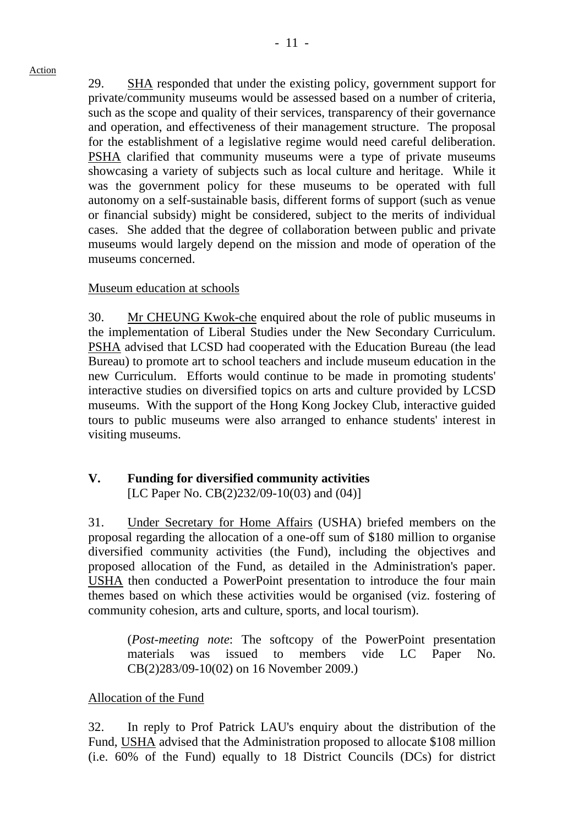29. SHA responded that under the existing policy, government support for private/community museums would be assessed based on a number of criteria, such as the scope and quality of their services, transparency of their governance and operation, and effectiveness of their management structure. The proposal for the establishment of a legislative regime would need careful deliberation. PSHA clarified that community museums were a type of private museums showcasing a variety of subjects such as local culture and heritage. While it was the government policy for these museums to be operated with full autonomy on a self-sustainable basis, different forms of support (such as venue or financial subsidy) might be considered, subject to the merits of individual cases. She added that the degree of collaboration between public and private museums would largely depend on the mission and mode of operation of the museums concerned.

## Museum education at schools

30. Mr CHEUNG Kwok-che enquired about the role of public museums in the implementation of Liberal Studies under the New Secondary Curriculum. PSHA advised that LCSD had cooperated with the Education Bureau (the lead Bureau) to promote art to school teachers and include museum education in the new Curriculum. Efforts would continue to be made in promoting students' interactive studies on diversified topics on arts and culture provided by LCSD museums. With the support of the Hong Kong Jockey Club, interactive guided tours to public museums were also arranged to enhance students' interest in visiting museums.

# **V. Funding for diversified community activities**

[LC Paper No. CB(2)232/09-10(03) and (04)]

31. Under Secretary for Home Affairs (USHA) briefed members on the proposal regarding the allocation of a one-off sum of \$180 million to organise diversified community activities (the Fund), including the objectives and proposed allocation of the Fund, as detailed in the Administration's paper. USHA then conducted a PowerPoint presentation to introduce the four main themes based on which these activities would be organised (viz. fostering of community cohesion, arts and culture, sports, and local tourism).

(*Post-meeting note*: The softcopy of the PowerPoint presentation materials was issued to members vide LC Paper No. CB(2)283/09-10(02) on 16 November 2009.)

# Allocation of the Fund

32. In reply to Prof Patrick LAU's enquiry about the distribution of the Fund, USHA advised that the Administration proposed to allocate \$108 million (i.e. 60% of the Fund) equally to 18 District Councils (DCs) for district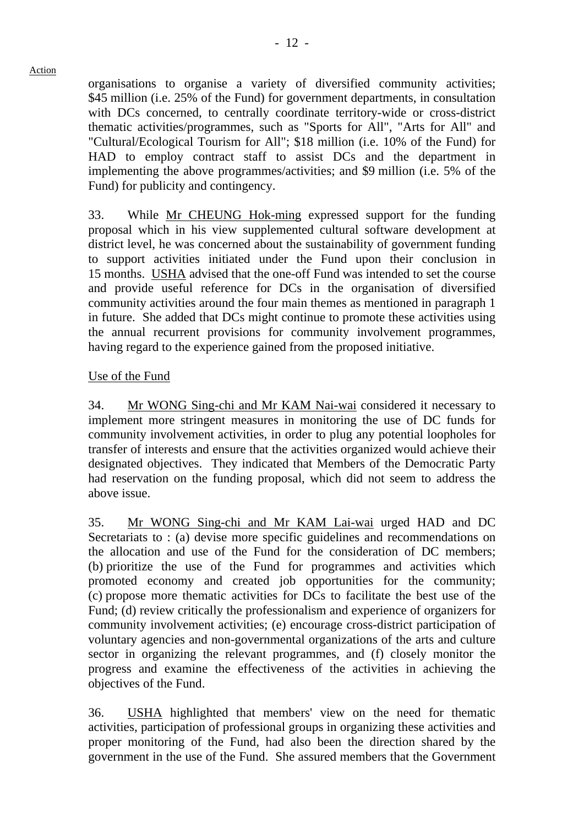organisations to organise a variety of diversified community activities; \$45 million (i.e. 25% of the Fund) for government departments, in consultation with DCs concerned, to centrally coordinate territory-wide or cross-district thematic activities/programmes, such as "Sports for All", "Arts for All" and "Cultural/Ecological Tourism for All"; \$18 million (i.e. 10% of the Fund) for HAD to employ contract staff to assist DCs and the department in implementing the above programmes/activities; and \$9 million (i.e. 5% of the Fund) for publicity and contingency.

33. While Mr CHEUNG Hok-ming expressed support for the funding proposal which in his view supplemented cultural software development at district level, he was concerned about the sustainability of government funding to support activities initiated under the Fund upon their conclusion in 15 months. USHA advised that the one-off Fund was intended to set the course and provide useful reference for DCs in the organisation of diversified community activities around the four main themes as mentioned in paragraph 1 in future. She added that DCs might continue to promote these activities using the annual recurrent provisions for community involvement programmes, having regard to the experience gained from the proposed initiative.

# Use of the Fund

34. Mr WONG Sing-chi and Mr KAM Nai-wai considered it necessary to implement more stringent measures in monitoring the use of DC funds for community involvement activities, in order to plug any potential loopholes for transfer of interests and ensure that the activities organized would achieve their designated objectives. They indicated that Members of the Democratic Party had reservation on the funding proposal, which did not seem to address the above issue.

35. Mr WONG Sing-chi and Mr KAM Lai-wai urged HAD and DC Secretariats to : (a) devise more specific guidelines and recommendations on the allocation and use of the Fund for the consideration of DC members; (b) prioritize the use of the Fund for programmes and activities which promoted economy and created job opportunities for the community; (c) propose more thematic activities for DCs to facilitate the best use of the Fund; (d) review critically the professionalism and experience of organizers for community involvement activities; (e) encourage cross-district participation of voluntary agencies and non-governmental organizations of the arts and culture sector in organizing the relevant programmes, and (f) closely monitor the progress and examine the effectiveness of the activities in achieving the objectives of the Fund.

36. USHA highlighted that members' view on the need for thematic activities, participation of professional groups in organizing these activities and proper monitoring of the Fund, had also been the direction shared by the government in the use of the Fund. She assured members that the Government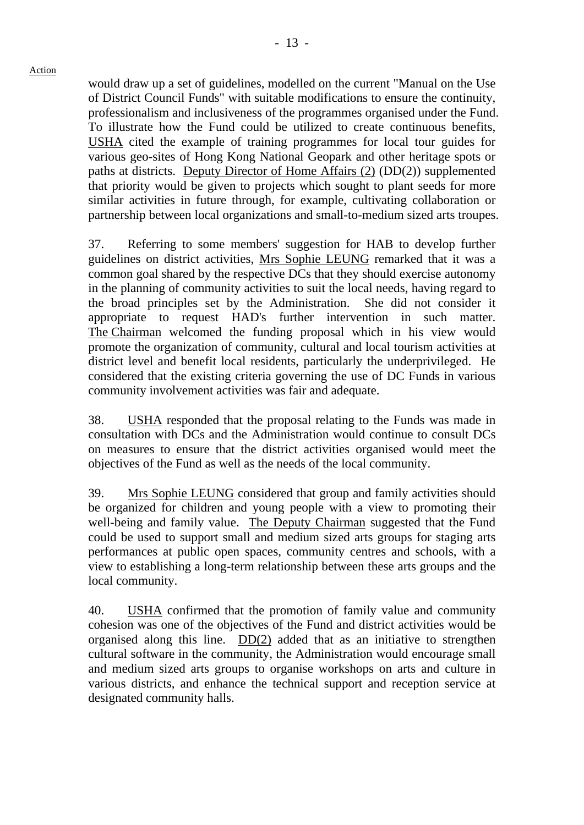would draw up a set of guidelines, modelled on the current "Manual on the Use of District Council Funds" with suitable modifications to ensure the continuity, professionalism and inclusiveness of the programmes organised under the Fund. To illustrate how the Fund could be utilized to create continuous benefits, USHA cited the example of training programmes for local tour guides for various geo-sites of Hong Kong National Geopark and other heritage spots or paths at districts. Deputy Director of Home Affairs (2) (DD(2)) supplemented that priority would be given to projects which sought to plant seeds for more similar activities in future through, for example, cultivating collaboration or partnership between local organizations and small-to-medium sized arts troupes.

37. Referring to some members' suggestion for HAB to develop further guidelines on district activities, Mrs Sophie LEUNG remarked that it was a common goal shared by the respective DCs that they should exercise autonomy in the planning of community activities to suit the local needs, having regard to the broad principles set by the Administration. She did not consider it appropriate to request HAD's further intervention in such matter. The Chairman welcomed the funding proposal which in his view would promote the organization of community, cultural and local tourism activities at district level and benefit local residents, particularly the underprivileged. He considered that the existing criteria governing the use of DC Funds in various community involvement activities was fair and adequate.

38. USHA responded that the proposal relating to the Funds was made in consultation with DCs and the Administration would continue to consult DCs on measures to ensure that the district activities organised would meet the objectives of the Fund as well as the needs of the local community.

39. Mrs Sophie LEUNG considered that group and family activities should be organized for children and young people with a view to promoting their well-being and family value. The Deputy Chairman suggested that the Fund could be used to support small and medium sized arts groups for staging arts performances at public open spaces, community centres and schools, with a view to establishing a long-term relationship between these arts groups and the local community.

40. USHA confirmed that the promotion of family value and community cohesion was one of the objectives of the Fund and district activities would be organised along this line. DD(2) added that as an initiative to strengthen cultural software in the community, the Administration would encourage small and medium sized arts groups to organise workshops on arts and culture in various districts, and enhance the technical support and reception service at designated community halls.